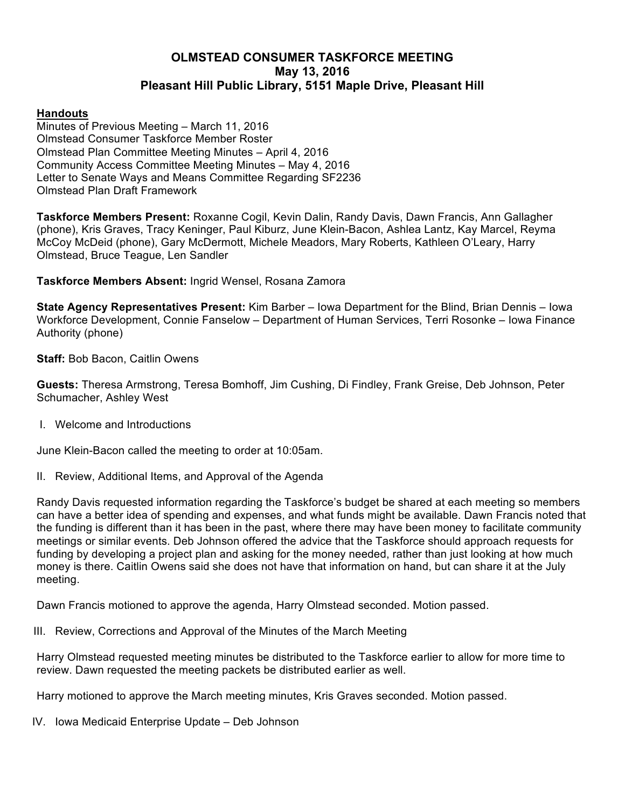# **OLMSTEAD CONSUMER TASKFORCE MEETING May 13, 2016 Pleasant Hill Public Library, 5151 Maple Drive, Pleasant Hill**

# **Handouts**

Minutes of Previous Meeting – March 11, 2016 Olmstead Consumer Taskforce Member Roster Olmstead Plan Committee Meeting Minutes – April 4, 2016 Community Access Committee Meeting Minutes – May 4, 2016 Letter to Senate Ways and Means Committee Regarding SF2236 Olmstead Plan Draft Framework

**Taskforce Members Present:** Roxanne Cogil, Kevin Dalin, Randy Davis, Dawn Francis, Ann Gallagher (phone), Kris Graves, Tracy Keninger, Paul Kiburz, June Klein-Bacon, Ashlea Lantz, Kay Marcel, Reyma McCoy McDeid (phone), Gary McDermott, Michele Meadors, Mary Roberts, Kathleen O'Leary, Harry Olmstead, Bruce Teague, Len Sandler

**Taskforce Members Absent:** Ingrid Wensel, Rosana Zamora

**State Agency Representatives Present:** Kim Barber – Iowa Department for the Blind, Brian Dennis – Iowa Workforce Development, Connie Fanselow – Department of Human Services, Terri Rosonke – Iowa Finance Authority (phone)

**Staff:** Bob Bacon, Caitlin Owens

**Guests:** Theresa Armstrong, Teresa Bomhoff, Jim Cushing, Di Findley, Frank Greise, Deb Johnson, Peter Schumacher, Ashley West

I. Welcome and Introductions

June Klein-Bacon called the meeting to order at 10:05am.

II. Review, Additional Items, and Approval of the Agenda

Randy Davis requested information regarding the Taskforce's budget be shared at each meeting so members can have a better idea of spending and expenses, and what funds might be available. Dawn Francis noted that the funding is different than it has been in the past, where there may have been money to facilitate community meetings or similar events. Deb Johnson offered the advice that the Taskforce should approach requests for funding by developing a project plan and asking for the money needed, rather than just looking at how much money is there. Caitlin Owens said she does not have that information on hand, but can share it at the July meeting.

Dawn Francis motioned to approve the agenda, Harry Olmstead seconded. Motion passed.

III. Review, Corrections and Approval of the Minutes of the March Meeting

Harry Olmstead requested meeting minutes be distributed to the Taskforce earlier to allow for more time to review. Dawn requested the meeting packets be distributed earlier as well.

Harry motioned to approve the March meeting minutes, Kris Graves seconded. Motion passed.

IV. Iowa Medicaid Enterprise Update – Deb Johnson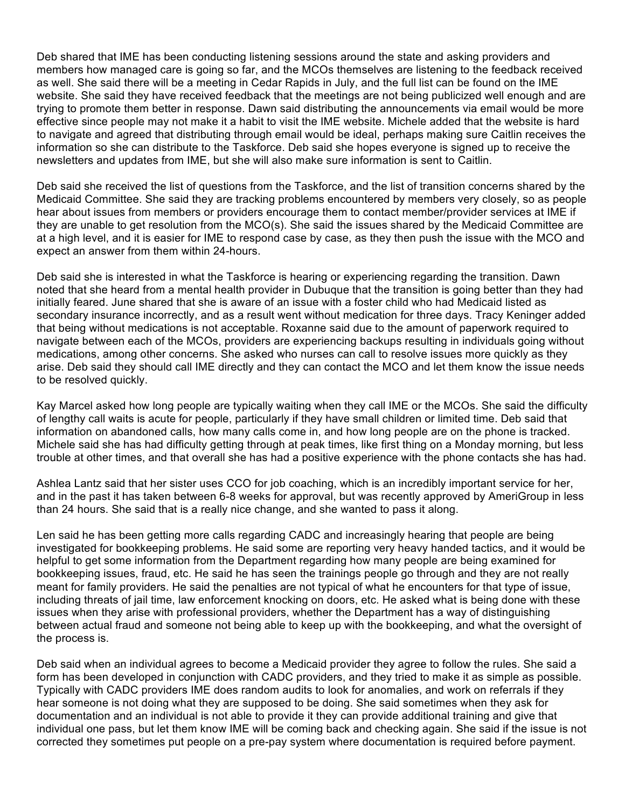Deb shared that IME has been conducting listening sessions around the state and asking providers and members how managed care is going so far, and the MCOs themselves are listening to the feedback received as well. She said there will be a meeting in Cedar Rapids in July, and the full list can be found on the IME website. She said they have received feedback that the meetings are not being publicized well enough and are trying to promote them better in response. Dawn said distributing the announcements via email would be more effective since people may not make it a habit to visit the IME website. Michele added that the website is hard to navigate and agreed that distributing through email would be ideal, perhaps making sure Caitlin receives the information so she can distribute to the Taskforce. Deb said she hopes everyone is signed up to receive the newsletters and updates from IME, but she will also make sure information is sent to Caitlin.

Deb said she received the list of questions from the Taskforce, and the list of transition concerns shared by the Medicaid Committee. She said they are tracking problems encountered by members very closely, so as people hear about issues from members or providers encourage them to contact member/provider services at IME if they are unable to get resolution from the MCO(s). She said the issues shared by the Medicaid Committee are at a high level, and it is easier for IME to respond case by case, as they then push the issue with the MCO and expect an answer from them within 24-hours.

Deb said she is interested in what the Taskforce is hearing or experiencing regarding the transition. Dawn noted that she heard from a mental health provider in Dubuque that the transition is going better than they had initially feared. June shared that she is aware of an issue with a foster child who had Medicaid listed as secondary insurance incorrectly, and as a result went without medication for three days. Tracy Keninger added that being without medications is not acceptable. Roxanne said due to the amount of paperwork required to navigate between each of the MCOs, providers are experiencing backups resulting in individuals going without medications, among other concerns. She asked who nurses can call to resolve issues more quickly as they arise. Deb said they should call IME directly and they can contact the MCO and let them know the issue needs to be resolved quickly.

Kay Marcel asked how long people are typically waiting when they call IME or the MCOs. She said the difficulty of lengthy call waits is acute for people, particularly if they have small children or limited time. Deb said that information on abandoned calls, how many calls come in, and how long people are on the phone is tracked. Michele said she has had difficulty getting through at peak times, like first thing on a Monday morning, but less trouble at other times, and that overall she has had a positive experience with the phone contacts she has had.

Ashlea Lantz said that her sister uses CCO for job coaching, which is an incredibly important service for her, and in the past it has taken between 6-8 weeks for approval, but was recently approved by AmeriGroup in less than 24 hours. She said that is a really nice change, and she wanted to pass it along.

Len said he has been getting more calls regarding CADC and increasingly hearing that people are being investigated for bookkeeping problems. He said some are reporting very heavy handed tactics, and it would be helpful to get some information from the Department regarding how many people are being examined for bookkeeping issues, fraud, etc. He said he has seen the trainings people go through and they are not really meant for family providers. He said the penalties are not typical of what he encounters for that type of issue, including threats of jail time, law enforcement knocking on doors, etc. He asked what is being done with these issues when they arise with professional providers, whether the Department has a way of distinguishing between actual fraud and someone not being able to keep up with the bookkeeping, and what the oversight of the process is.

Deb said when an individual agrees to become a Medicaid provider they agree to follow the rules. She said a form has been developed in conjunction with CADC providers, and they tried to make it as simple as possible. Typically with CADC providers IME does random audits to look for anomalies, and work on referrals if they hear someone is not doing what they are supposed to be doing. She said sometimes when they ask for documentation and an individual is not able to provide it they can provide additional training and give that individual one pass, but let them know IME will be coming back and checking again. She said if the issue is not corrected they sometimes put people on a pre-pay system where documentation is required before payment.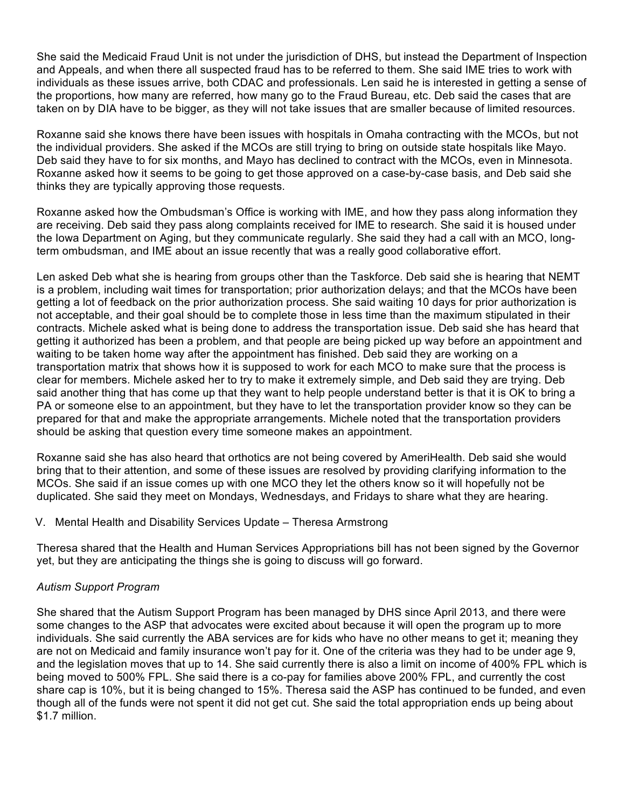She said the Medicaid Fraud Unit is not under the jurisdiction of DHS, but instead the Department of Inspection and Appeals, and when there all suspected fraud has to be referred to them. She said IME tries to work with individuals as these issues arrive, both CDAC and professionals. Len said he is interested in getting a sense of the proportions, how many are referred, how many go to the Fraud Bureau, etc. Deb said the cases that are taken on by DIA have to be bigger, as they will not take issues that are smaller because of limited resources.

Roxanne said she knows there have been issues with hospitals in Omaha contracting with the MCOs, but not the individual providers. She asked if the MCOs are still trying to bring on outside state hospitals like Mayo. Deb said they have to for six months, and Mayo has declined to contract with the MCOs, even in Minnesota. Roxanne asked how it seems to be going to get those approved on a case-by-case basis, and Deb said she thinks they are typically approving those requests.

Roxanne asked how the Ombudsman's Office is working with IME, and how they pass along information they are receiving. Deb said they pass along complaints received for IME to research. She said it is housed under the Iowa Department on Aging, but they communicate regularly. She said they had a call with an MCO, longterm ombudsman, and IME about an issue recently that was a really good collaborative effort.

Len asked Deb what she is hearing from groups other than the Taskforce. Deb said she is hearing that NEMT is a problem, including wait times for transportation; prior authorization delays; and that the MCOs have been getting a lot of feedback on the prior authorization process. She said waiting 10 days for prior authorization is not acceptable, and their goal should be to complete those in less time than the maximum stipulated in their contracts. Michele asked what is being done to address the transportation issue. Deb said she has heard that getting it authorized has been a problem, and that people are being picked up way before an appointment and waiting to be taken home way after the appointment has finished. Deb said they are working on a transportation matrix that shows how it is supposed to work for each MCO to make sure that the process is clear for members. Michele asked her to try to make it extremely simple, and Deb said they are trying. Deb said another thing that has come up that they want to help people understand better is that it is OK to bring a PA or someone else to an appointment, but they have to let the transportation provider know so they can be prepared for that and make the appropriate arrangements. Michele noted that the transportation providers should be asking that question every time someone makes an appointment.

Roxanne said she has also heard that orthotics are not being covered by AmeriHealth. Deb said she would bring that to their attention, and some of these issues are resolved by providing clarifying information to the MCOs. She said if an issue comes up with one MCO they let the others know so it will hopefully not be duplicated. She said they meet on Mondays, Wednesdays, and Fridays to share what they are hearing.

## V. Mental Health and Disability Services Update – Theresa Armstrong

Theresa shared that the Health and Human Services Appropriations bill has not been signed by the Governor yet, but they are anticipating the things she is going to discuss will go forward.

# *Autism Support Program*

She shared that the Autism Support Program has been managed by DHS since April 2013, and there were some changes to the ASP that advocates were excited about because it will open the program up to more individuals. She said currently the ABA services are for kids who have no other means to get it; meaning they are not on Medicaid and family insurance won't pay for it. One of the criteria was they had to be under age 9, and the legislation moves that up to 14. She said currently there is also a limit on income of 400% FPL which is being moved to 500% FPL. She said there is a co-pay for families above 200% FPL, and currently the cost share cap is 10%, but it is being changed to 15%. Theresa said the ASP has continued to be funded, and even though all of the funds were not spent it did not get cut. She said the total appropriation ends up being about \$1.7 million.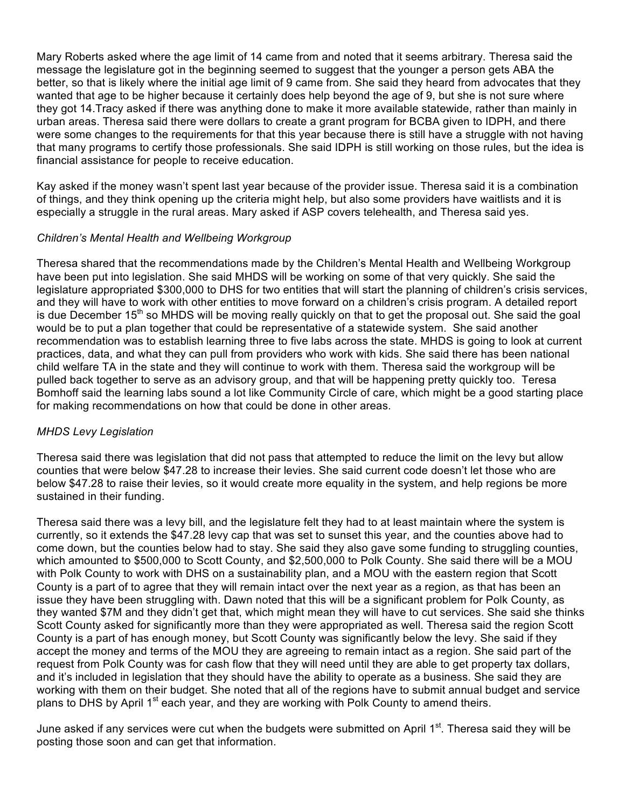Mary Roberts asked where the age limit of 14 came from and noted that it seems arbitrary. Theresa said the message the legislature got in the beginning seemed to suggest that the younger a person gets ABA the better, so that is likely where the initial age limit of 9 came from. She said they heard from advocates that they wanted that age to be higher because it certainly does help beyond the age of 9, but she is not sure where they got 14.Tracy asked if there was anything done to make it more available statewide, rather than mainly in urban areas. Theresa said there were dollars to create a grant program for BCBA given to IDPH, and there were some changes to the requirements for that this year because there is still have a struggle with not having that many programs to certify those professionals. She said IDPH is still working on those rules, but the idea is financial assistance for people to receive education.

Kay asked if the money wasn't spent last year because of the provider issue. Theresa said it is a combination of things, and they think opening up the criteria might help, but also some providers have waitlists and it is especially a struggle in the rural areas. Mary asked if ASP covers telehealth, and Theresa said yes.

# *Children's Mental Health and Wellbeing Workgroup*

Theresa shared that the recommendations made by the Children's Mental Health and Wellbeing Workgroup have been put into legislation. She said MHDS will be working on some of that very quickly. She said the legislature appropriated \$300,000 to DHS for two entities that will start the planning of children's crisis services, and they will have to work with other entities to move forward on a children's crisis program. A detailed report is due December 15<sup>th</sup> so MHDS will be moving really quickly on that to get the proposal out. She said the goal would be to put a plan together that could be representative of a statewide system. She said another recommendation was to establish learning three to five labs across the state. MHDS is going to look at current practices, data, and what they can pull from providers who work with kids. She said there has been national child welfare TA in the state and they will continue to work with them. Theresa said the workgroup will be pulled back together to serve as an advisory group, and that will be happening pretty quickly too. Teresa Bomhoff said the learning labs sound a lot like Community Circle of care, which might be a good starting place for making recommendations on how that could be done in other areas.

## *MHDS Levy Legislation*

Theresa said there was legislation that did not pass that attempted to reduce the limit on the levy but allow counties that were below \$47.28 to increase their levies. She said current code doesn't let those who are below \$47.28 to raise their levies, so it would create more equality in the system, and help regions be more sustained in their funding.

Theresa said there was a levy bill, and the legislature felt they had to at least maintain where the system is currently, so it extends the \$47.28 levy cap that was set to sunset this year, and the counties above had to come down, but the counties below had to stay. She said they also gave some funding to struggling counties, which amounted to \$500,000 to Scott County, and \$2,500,000 to Polk County. She said there will be a MOU with Polk County to work with DHS on a sustainability plan, and a MOU with the eastern region that Scott County is a part of to agree that they will remain intact over the next year as a region, as that has been an issue they have been struggling with. Dawn noted that this will be a significant problem for Polk County, as they wanted \$7M and they didn't get that, which might mean they will have to cut services. She said she thinks Scott County asked for significantly more than they were appropriated as well. Theresa said the region Scott County is a part of has enough money, but Scott County was significantly below the levy. She said if they accept the money and terms of the MOU they are agreeing to remain intact as a region. She said part of the request from Polk County was for cash flow that they will need until they are able to get property tax dollars, and it's included in legislation that they should have the ability to operate as a business. She said they are working with them on their budget. She noted that all of the regions have to submit annual budget and service plans to DHS by April 1<sup>st</sup> each year, and they are working with Polk County to amend theirs.

June asked if any services were cut when the budgets were submitted on April 1<sup>st</sup>. Theresa said they will be posting those soon and can get that information.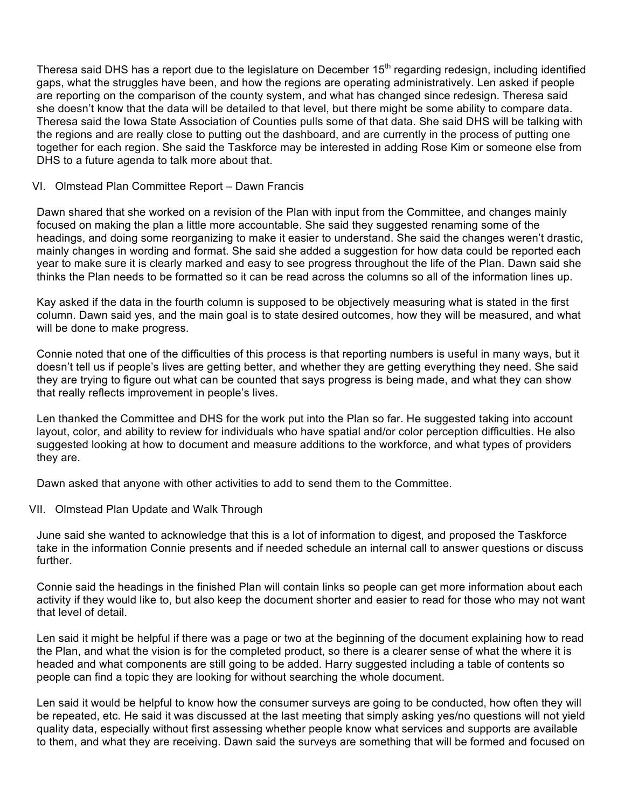Theresa said DHS has a report due to the legislature on December 15<sup>th</sup> regarding redesign, including identified gaps, what the struggles have been, and how the regions are operating administratively. Len asked if people are reporting on the comparison of the county system, and what has changed since redesign. Theresa said she doesn't know that the data will be detailed to that level, but there might be some ability to compare data. Theresa said the Iowa State Association of Counties pulls some of that data. She said DHS will be talking with the regions and are really close to putting out the dashboard, and are currently in the process of putting one together for each region. She said the Taskforce may be interested in adding Rose Kim or someone else from DHS to a future agenda to talk more about that.

## VI. Olmstead Plan Committee Report – Dawn Francis

Dawn shared that she worked on a revision of the Plan with input from the Committee, and changes mainly focused on making the plan a little more accountable. She said they suggested renaming some of the headings, and doing some reorganizing to make it easier to understand. She said the changes weren't drastic, mainly changes in wording and format. She said she added a suggestion for how data could be reported each year to make sure it is clearly marked and easy to see progress throughout the life of the Plan. Dawn said she thinks the Plan needs to be formatted so it can be read across the columns so all of the information lines up.

Kay asked if the data in the fourth column is supposed to be objectively measuring what is stated in the first column. Dawn said yes, and the main goal is to state desired outcomes, how they will be measured, and what will be done to make progress.

Connie noted that one of the difficulties of this process is that reporting numbers is useful in many ways, but it doesn't tell us if people's lives are getting better, and whether they are getting everything they need. She said they are trying to figure out what can be counted that says progress is being made, and what they can show that really reflects improvement in people's lives.

Len thanked the Committee and DHS for the work put into the Plan so far. He suggested taking into account layout, color, and ability to review for individuals who have spatial and/or color perception difficulties. He also suggested looking at how to document and measure additions to the workforce, and what types of providers they are.

Dawn asked that anyone with other activities to add to send them to the Committee.

# VII. Olmstead Plan Update and Walk Through

June said she wanted to acknowledge that this is a lot of information to digest, and proposed the Taskforce take in the information Connie presents and if needed schedule an internal call to answer questions or discuss further.

Connie said the headings in the finished Plan will contain links so people can get more information about each activity if they would like to, but also keep the document shorter and easier to read for those who may not want that level of detail.

Len said it might be helpful if there was a page or two at the beginning of the document explaining how to read the Plan, and what the vision is for the completed product, so there is a clearer sense of what the where it is headed and what components are still going to be added. Harry suggested including a table of contents so people can find a topic they are looking for without searching the whole document.

Len said it would be helpful to know how the consumer surveys are going to be conducted, how often they will be repeated, etc. He said it was discussed at the last meeting that simply asking yes/no questions will not yield quality data, especially without first assessing whether people know what services and supports are available to them, and what they are receiving. Dawn said the surveys are something that will be formed and focused on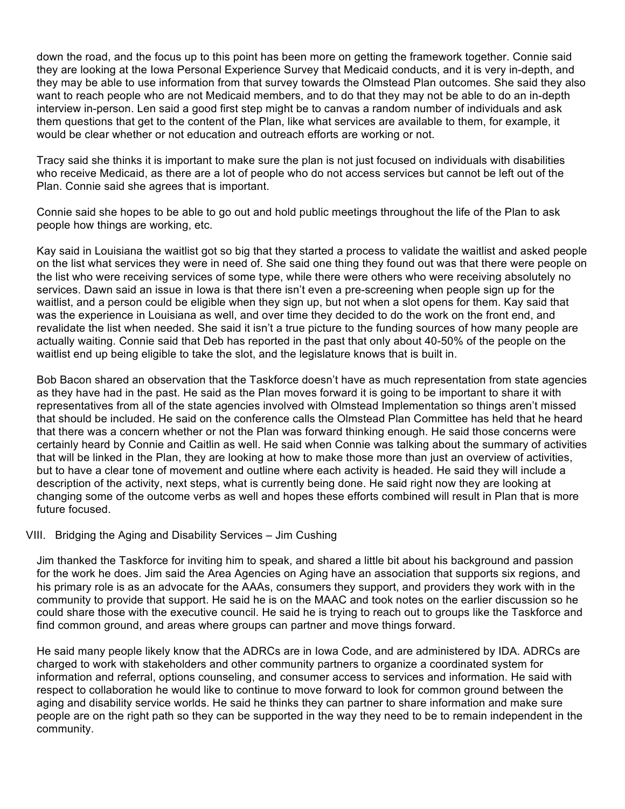down the road, and the focus up to this point has been more on getting the framework together. Connie said they are looking at the Iowa Personal Experience Survey that Medicaid conducts, and it is very in-depth, and they may be able to use information from that survey towards the Olmstead Plan outcomes. She said they also want to reach people who are not Medicaid members, and to do that they may not be able to do an in-depth interview in-person. Len said a good first step might be to canvas a random number of individuals and ask them questions that get to the content of the Plan, like what services are available to them, for example, it would be clear whether or not education and outreach efforts are working or not.

Tracy said she thinks it is important to make sure the plan is not just focused on individuals with disabilities who receive Medicaid, as there are a lot of people who do not access services but cannot be left out of the Plan. Connie said she agrees that is important.

Connie said she hopes to be able to go out and hold public meetings throughout the life of the Plan to ask people how things are working, etc.

Kay said in Louisiana the waitlist got so big that they started a process to validate the waitlist and asked people on the list what services they were in need of. She said one thing they found out was that there were people on the list who were receiving services of some type, while there were others who were receiving absolutely no services. Dawn said an issue in Iowa is that there isn't even a pre-screening when people sign up for the waitlist, and a person could be eligible when they sign up, but not when a slot opens for them. Kay said that was the experience in Louisiana as well, and over time they decided to do the work on the front end, and revalidate the list when needed. She said it isn't a true picture to the funding sources of how many people are actually waiting. Connie said that Deb has reported in the past that only about 40-50% of the people on the waitlist end up being eligible to take the slot, and the legislature knows that is built in.

Bob Bacon shared an observation that the Taskforce doesn't have as much representation from state agencies as they have had in the past. He said as the Plan moves forward it is going to be important to share it with representatives from all of the state agencies involved with Olmstead Implementation so things aren't missed that should be included. He said on the conference calls the Olmstead Plan Committee has held that he heard that there was a concern whether or not the Plan was forward thinking enough. He said those concerns were certainly heard by Connie and Caitlin as well. He said when Connie was talking about the summary of activities that will be linked in the Plan, they are looking at how to make those more than just an overview of activities, but to have a clear tone of movement and outline where each activity is headed. He said they will include a description of the activity, next steps, what is currently being done. He said right now they are looking at changing some of the outcome verbs as well and hopes these efforts combined will result in Plan that is more future focused.

## VIII. Bridging the Aging and Disability Services – Jim Cushing

Jim thanked the Taskforce for inviting him to speak, and shared a little bit about his background and passion for the work he does. Jim said the Area Agencies on Aging have an association that supports six regions, and his primary role is as an advocate for the AAAs, consumers they support, and providers they work with in the community to provide that support. He said he is on the MAAC and took notes on the earlier discussion so he could share those with the executive council. He said he is trying to reach out to groups like the Taskforce and find common ground, and areas where groups can partner and move things forward.

He said many people likely know that the ADRCs are in Iowa Code, and are administered by IDA. ADRCs are charged to work with stakeholders and other community partners to organize a coordinated system for information and referral, options counseling, and consumer access to services and information. He said with respect to collaboration he would like to continue to move forward to look for common ground between the aging and disability service worlds. He said he thinks they can partner to share information and make sure people are on the right path so they can be supported in the way they need to be to remain independent in the community.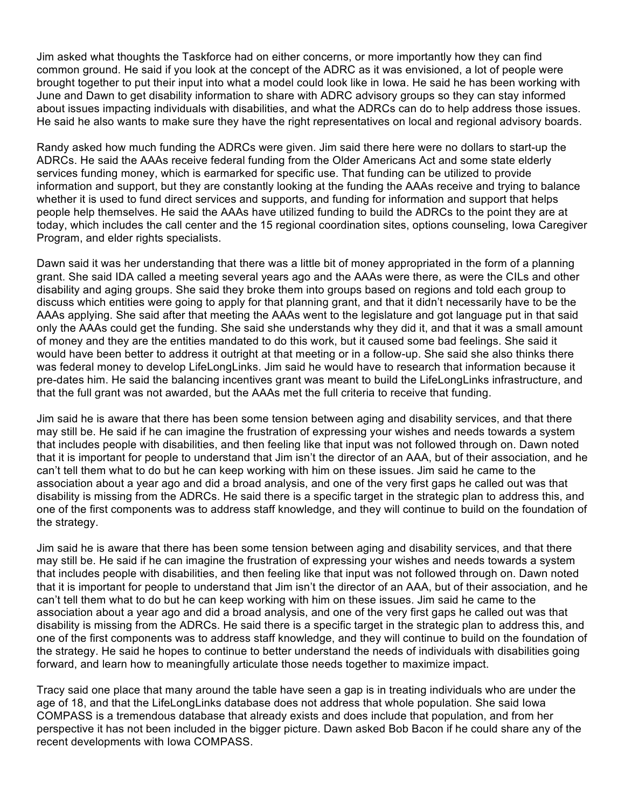Jim asked what thoughts the Taskforce had on either concerns, or more importantly how they can find common ground. He said if you look at the concept of the ADRC as it was envisioned, a lot of people were brought together to put their input into what a model could look like in Iowa. He said he has been working with June and Dawn to get disability information to share with ADRC advisory groups so they can stay informed about issues impacting individuals with disabilities, and what the ADRCs can do to help address those issues. He said he also wants to make sure they have the right representatives on local and regional advisory boards.

Randy asked how much funding the ADRCs were given. Jim said there here were no dollars to start-up the ADRCs. He said the AAAs receive federal funding from the Older Americans Act and some state elderly services funding money, which is earmarked for specific use. That funding can be utilized to provide information and support, but they are constantly looking at the funding the AAAs receive and trying to balance whether it is used to fund direct services and supports, and funding for information and support that helps people help themselves. He said the AAAs have utilized funding to build the ADRCs to the point they are at today, which includes the call center and the 15 regional coordination sites, options counseling, Iowa Caregiver Program, and elder rights specialists.

Dawn said it was her understanding that there was a little bit of money appropriated in the form of a planning grant. She said IDA called a meeting several years ago and the AAAs were there, as were the CILs and other disability and aging groups. She said they broke them into groups based on regions and told each group to discuss which entities were going to apply for that planning grant, and that it didn't necessarily have to be the AAAs applying. She said after that meeting the AAAs went to the legislature and got language put in that said only the AAAs could get the funding. She said she understands why they did it, and that it was a small amount of money and they are the entities mandated to do this work, but it caused some bad feelings. She said it would have been better to address it outright at that meeting or in a follow-up. She said she also thinks there was federal money to develop LifeLongLinks. Jim said he would have to research that information because it pre-dates him. He said the balancing incentives grant was meant to build the LifeLongLinks infrastructure, and that the full grant was not awarded, but the AAAs met the full criteria to receive that funding.

Jim said he is aware that there has been some tension between aging and disability services, and that there may still be. He said if he can imagine the frustration of expressing your wishes and needs towards a system that includes people with disabilities, and then feeling like that input was not followed through on. Dawn noted that it is important for people to understand that Jim isn't the director of an AAA, but of their association, and he can't tell them what to do but he can keep working with him on these issues. Jim said he came to the association about a year ago and did a broad analysis, and one of the very first gaps he called out was that disability is missing from the ADRCs. He said there is a specific target in the strategic plan to address this, and one of the first components was to address staff knowledge, and they will continue to build on the foundation of the strategy.

Jim said he is aware that there has been some tension between aging and disability services, and that there may still be. He said if he can imagine the frustration of expressing your wishes and needs towards a system that includes people with disabilities, and then feeling like that input was not followed through on. Dawn noted that it is important for people to understand that Jim isn't the director of an AAA, but of their association, and he can't tell them what to do but he can keep working with him on these issues. Jim said he came to the association about a year ago and did a broad analysis, and one of the very first gaps he called out was that disability is missing from the ADRCs. He said there is a specific target in the strategic plan to address this, and one of the first components was to address staff knowledge, and they will continue to build on the foundation of the strategy. He said he hopes to continue to better understand the needs of individuals with disabilities going forward, and learn how to meaningfully articulate those needs together to maximize impact.

Tracy said one place that many around the table have seen a gap is in treating individuals who are under the age of 18, and that the LifeLongLinks database does not address that whole population. She said Iowa COMPASS is a tremendous database that already exists and does include that population, and from her perspective it has not been included in the bigger picture. Dawn asked Bob Bacon if he could share any of the recent developments with Iowa COMPASS.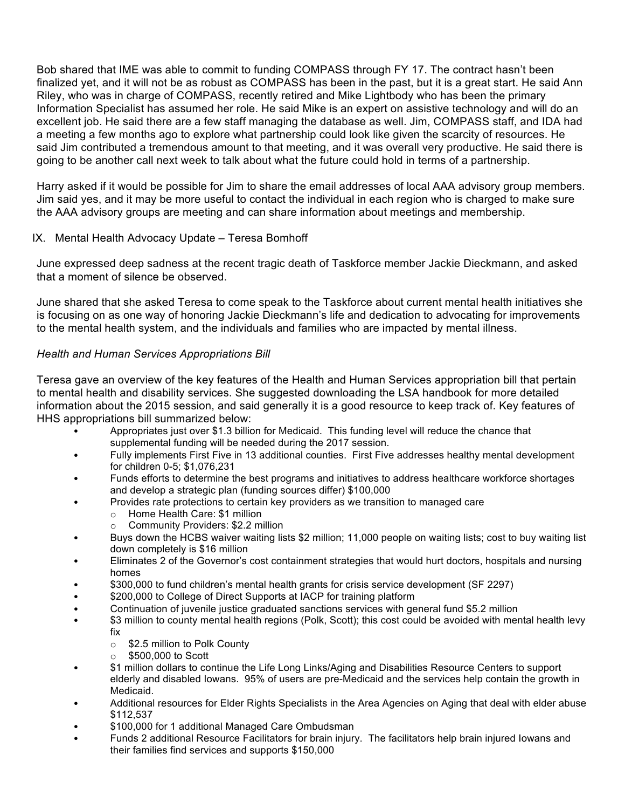Bob shared that IME was able to commit to funding COMPASS through FY 17. The contract hasn't been finalized yet, and it will not be as robust as COMPASS has been in the past, but it is a great start. He said Ann Riley, who was in charge of COMPASS, recently retired and Mike Lightbody who has been the primary Information Specialist has assumed her role. He said Mike is an expert on assistive technology and will do an excellent job. He said there are a few staff managing the database as well. Jim, COMPASS staff, and IDA had a meeting a few months ago to explore what partnership could look like given the scarcity of resources. He said Jim contributed a tremendous amount to that meeting, and it was overall very productive. He said there is going to be another call next week to talk about what the future could hold in terms of a partnership.

Harry asked if it would be possible for Jim to share the email addresses of local AAA advisory group members. Jim said yes, and it may be more useful to contact the individual in each region who is charged to make sure the AAA advisory groups are meeting and can share information about meetings and membership.

# IX. Mental Health Advocacy Update – Teresa Bomhoff

June expressed deep sadness at the recent tragic death of Taskforce member Jackie Dieckmann, and asked that a moment of silence be observed.

June shared that she asked Teresa to come speak to the Taskforce about current mental health initiatives she is focusing on as one way of honoring Jackie Dieckmann's life and dedication to advocating for improvements to the mental health system, and the individuals and families who are impacted by mental illness.

# *Health and Human Services Appropriations Bill*

Teresa gave an overview of the key features of the Health and Human Services appropriation bill that pertain to mental health and disability services. She suggested downloading the LSA handbook for more detailed information about the 2015 session, and said generally it is a good resource to keep track of. Key features of HHS appropriations bill summarized below:

- Appropriates just over \$1.3 billion for Medicaid. This funding level will reduce the chance that supplemental funding will be needed during the 2017 session.
- Fully implements First Five in 13 additional counties. First Five addresses healthy mental development for children 0-5; \$1,076,231
- Funds efforts to determine the best programs and initiatives to address healthcare workforce shortages and develop a strategic plan (funding sources differ) \$100,000
	- Provides rate protections to certain key providers as we transition to managed care
		- o Home Health Care: \$1 million
		- o Community Providers: \$2.2 million
- Buys down the HCBS waiver waiting lists \$2 million; 11,000 people on waiting lists; cost to buy waiting list down completely is \$16 million
- Eliminates 2 of the Governor's cost containment strategies that would hurt doctors, hospitals and nursing homes
- \$300,000 to fund children's mental health grants for crisis service development (SF 2297)
- \$200,000 to College of Direct Supports at IACP for training platform
- Continuation of juvenile justice graduated sanctions services with general fund \$5.2 million
- \$3 million to county mental health regions (Polk, Scott); this cost could be avoided with mental health levy fix
	- $\circ$  \$2.5 million to Polk County
	- $\circ$  \$500,000 to Scott
- \$1 million dollars to continue the Life Long Links/Aging and Disabilities Resource Centers to support elderly and disabled Iowans. 95% of users are pre-Medicaid and the services help contain the growth in Medicaid.
- Additional resources for Elder Rights Specialists in the Area Agencies on Aging that deal with elder abuse \$112,537
- \$100,000 for 1 additional Managed Care Ombudsman
- Funds 2 additional Resource Facilitators for brain injury. The facilitators help brain injured Iowans and their families find services and supports \$150,000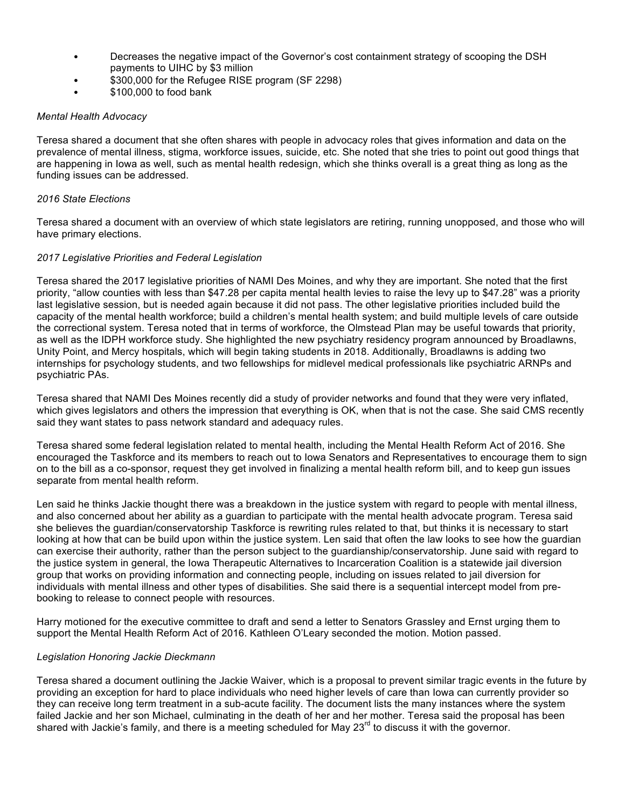- Decreases the negative impact of the Governor's cost containment strategy of scooping the DSH payments to UIHC by \$3 million
- \$300,000 for the Refugee RISE program (SF 2298)
- \$100,000 to food bank

### *Mental Health Advocacy*

Teresa shared a document that she often shares with people in advocacy roles that gives information and data on the prevalence of mental illness, stigma, workforce issues, suicide, etc. She noted that she tries to point out good things that are happening in Iowa as well, such as mental health redesign, which she thinks overall is a great thing as long as the funding issues can be addressed.

### *2016 State Elections*

Teresa shared a document with an overview of which state legislators are retiring, running unopposed, and those who will have primary elections.

### *2017 Legislative Priorities and Federal Legislation*

Teresa shared the 2017 legislative priorities of NAMI Des Moines, and why they are important. She noted that the first priority, "allow counties with less than \$47.28 per capita mental health levies to raise the levy up to \$47.28" was a priority last legislative session, but is needed again because it did not pass. The other legislative priorities included build the capacity of the mental health workforce; build a children's mental health system; and build multiple levels of care outside the correctional system. Teresa noted that in terms of workforce, the Olmstead Plan may be useful towards that priority, as well as the IDPH workforce study. She highlighted the new psychiatry residency program announced by Broadlawns, Unity Point, and Mercy hospitals, which will begin taking students in 2018. Additionally, Broadlawns is adding two internships for psychology students, and two fellowships for midlevel medical professionals like psychiatric ARNPs and psychiatric PAs.

Teresa shared that NAMI Des Moines recently did a study of provider networks and found that they were very inflated, which gives legislators and others the impression that everything is OK, when that is not the case. She said CMS recently said they want states to pass network standard and adequacy rules.

Teresa shared some federal legislation related to mental health, including the Mental Health Reform Act of 2016. She encouraged the Taskforce and its members to reach out to Iowa Senators and Representatives to encourage them to sign on to the bill as a co-sponsor, request they get involved in finalizing a mental health reform bill, and to keep gun issues separate from mental health reform.

Len said he thinks Jackie thought there was a breakdown in the justice system with regard to people with mental illness, and also concerned about her ability as a guardian to participate with the mental health advocate program. Teresa said she believes the guardian/conservatorship Taskforce is rewriting rules related to that, but thinks it is necessary to start looking at how that can be build upon within the justice system. Len said that often the law looks to see how the guardian can exercise their authority, rather than the person subject to the guardianship/conservatorship. June said with regard to the justice system in general, the Iowa Therapeutic Alternatives to Incarceration Coalition is a statewide jail diversion group that works on providing information and connecting people, including on issues related to jail diversion for individuals with mental illness and other types of disabilities. She said there is a sequential intercept model from prebooking to release to connect people with resources.

Harry motioned for the executive committee to draft and send a letter to Senators Grassley and Ernst urging them to support the Mental Health Reform Act of 2016. Kathleen O'Leary seconded the motion. Motion passed.

## *Legislation Honoring Jackie Dieckmann*

Teresa shared a document outlining the Jackie Waiver, which is a proposal to prevent similar tragic events in the future by providing an exception for hard to place individuals who need higher levels of care than Iowa can currently provider so they can receive long term treatment in a sub-acute facility. The document lists the many instances where the system failed Jackie and her son Michael, culminating in the death of her and her mother. Teresa said the proposal has been shared with Jackie's family, and there is a meeting scheduled for May 23<sup>rd</sup> to discuss it with the governor.